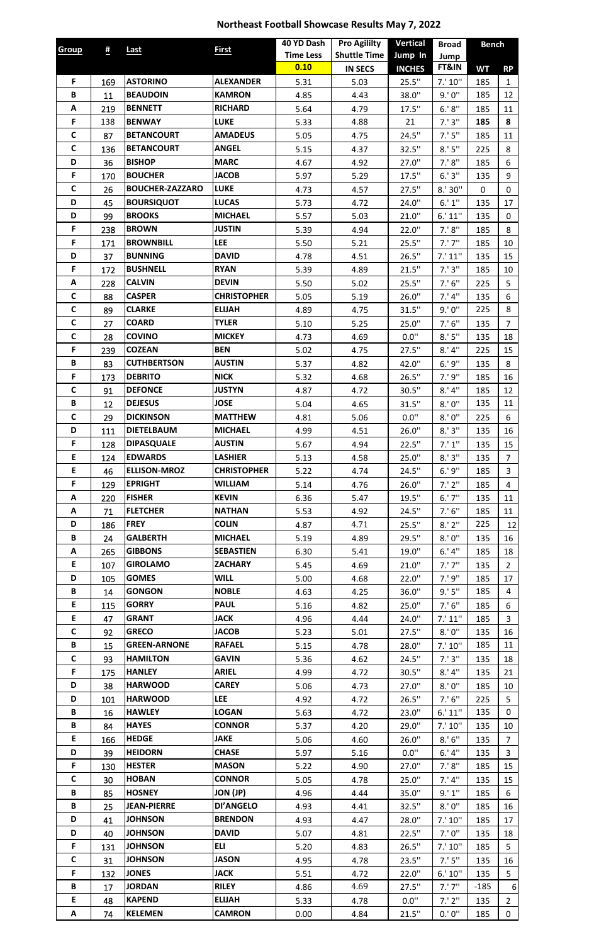## **Northeast Football Showcase Results May 7, 2022**

| <b>Group</b> | #          | Last                   | <b>First</b>       | 40 YD Dash               | <b>Pro Agililty</b> | <b>Vertical</b> | <b>Broad</b>       | <b>Bench</b> |                    |
|--------------|------------|------------------------|--------------------|--------------------------|---------------------|-----------------|--------------------|--------------|--------------------|
|              |            |                        |                    | <b>Time Less</b><br>0.10 | <b>Shuttle Time</b> | Jump In         | Jump               |              |                    |
| F.           |            | <b>ASTORINO</b>        | <b>ALEXANDER</b>   |                          | <b>IN SECS</b>      | <b>INCHES</b>   | FT&IN              | <b>WT</b>    | <b>RP</b>          |
| B            | 169        | <b>BEAUDOIN</b>        | <b>KAMRON</b>      | 5.31                     | 5.03                | 25.5"<br>38.0"  | 7.' 10''<br>9.'0'' | 185<br>185   | $\mathbf{1}$<br>12 |
| A            | 11         | <b>BENNETT</b>         | <b>RICHARD</b>     | 4.85                     | 4.43                | 17.5"           | 6.' 8''            | 185          |                    |
| F            | 219<br>138 | <b>BENWAY</b>          | <b>LUKE</b>        | 5.64<br>5.33             | 4.79<br>4.88        | 21              | 7.'3''             | 185          | 11<br>8            |
| $\mathsf{C}$ | 87         | <b>BETANCOURT</b>      | <b>AMADEUS</b>     | 5.05                     |                     | 24.5"           | 7.'5''             | 185          | 11                 |
| $\mathsf{C}$ |            | <b>BETANCOURT</b>      | <b>ANGEL</b>       |                          | 4.75                |                 | 8.'5''             |              |                    |
| D            | 136        | <b>BISHOP</b>          | <b>MARC</b>        | 5.15                     | 4.37                | 32.5"           | 7.'8''             | 225          | 8<br>6             |
| F            | 36         | <b>BOUCHER</b>         | <b>JACOB</b>       | 4.67                     | 4.92                | 27.0"           | 6.'3''             | 185          |                    |
| $\mathsf{C}$ | 170        | <b>BOUCHER-ZAZZARO</b> | <b>LUKE</b>        | 5.97                     | 5.29                | 17.5"           |                    | 135          | 9                  |
| D            | 26         | <b>BOURSIQUOT</b>      | <b>LUCAS</b>       | 4.73                     | 4.57                | 27.5"           | 8.'30''<br>6.' 1'' | 0            | $\mathbf 0$        |
| D            | 45         | <b>BROOKS</b>          | <b>MICHAEL</b>     | 5.73                     | 4.72                | 24.0"           |                    | 135          | 17                 |
| F            | 99         | <b>BROWN</b>           | <b>JUSTIN</b>      | 5.57                     | 5.03                | 21.0"           | 6.' 11''           | 135          | $\mathbf 0$        |
| F            | 238        | <b>BROWNBILL</b>       | <b>LEE</b>         | 5.39                     | 4.94                | 22.0"           | 7.'8''             | 185          | 8                  |
| D            | 171        | <b>BUNNING</b>         | <b>DAVID</b>       | 5.50                     | 5.21                | 25.5"           | $7.'$ $7''$        | 185          | 10                 |
|              | 37         | <b>BUSHNELL</b>        | <b>RYAN</b>        | 4.78                     | 4.51                | 26.5"           | 7.'11''            | 135          | 15                 |
| F            | 172        |                        |                    | 5.39                     | 4.89                | 21.5"           | 7.'3''             | 185          | 10                 |
| A            | 228        | <b>CALVIN</b>          | <b>DEVIN</b>       | 5.50                     | 5.02                | 25.5"           | 7.'6''             | 225          | 5                  |
| $\mathsf{C}$ | 88         | <b>CASPER</b>          | <b>CHRISTOPHER</b> | 5.05                     | 5.19                | 26.0"           | 7.'4''             | 135          | 6                  |
| $\mathsf{C}$ | 89         | <b>CLARKE</b>          | <b>ELIJAH</b>      | 4.89                     | 4.75                | 31.5"           | 9.'0''             | 225          | 8                  |
| $\mathsf{C}$ | 27         | <b>COARD</b>           | <b>TYLER</b>       | 5.10                     | 5.25                | 25.0"           | 7.'6''             | 135          | $\overline{7}$     |
| $\mathsf{C}$ | 28         | <b>COVINO</b>          | <b>MICKEY</b>      | 4.73                     | 4.69                | 0.0"            | 8.'5''             | 135          | 18                 |
| F            | 239        | <b>COZEAN</b>          | <b>BEN</b>         | 5.02                     | 4.75                | 27.5"           | 8.'4''             | 225          | 15                 |
| B            | 83         | <b>CUTHBERTSON</b>     | <b>AUSTIN</b>      | 5.37                     | 4.82                | 42.0"           | 6.'9''             | 135          | 8                  |
| F            | 173        | <b>DEBRITO</b>         | <b>NICK</b>        | 5.32                     | 4.68                | 26.5"           | 7.'9''             | 185          | 16                 |
| C            | 91         | <b>DEFONCE</b>         | <b>JUSTYN</b>      | 4.87                     | 4.72                | 30.5"           | 8.'4''             | 185          | 12                 |
| В            | 12         | <b>DEJESUS</b>         | <b>JOSE</b>        | 5.04                     | 4.65                | 31.5"           | 8.'0''             | 135          | 11                 |
| C            | 29         | <b>DICKINSON</b>       | <b>MATTHEW</b>     | 4.81                     | 5.06                | 0.0"            | 8.'0''             | 225          | 6                  |
| D            | 111        | <b>DIETELBAUM</b>      | <b>MICHAEL</b>     | 4.99                     | 4.51                | 26.0"           | 8.'3''             | 135          | 16                 |
| F            | 128        | <b>DIPASQUALE</b>      | <b>AUSTIN</b>      | 5.67                     | 4.94                | 22.5"           | 7.' 1''            | 135          | 15                 |
| E            | 124        | <b>EDWARDS</b>         | <b>LASHIER</b>     | 5.13                     | 4.58                | 25.0"           | 8.'3''             | 135          | $\overline{7}$     |
| E.           | 46         | <b>ELLISON-MROZ</b>    | <b>CHRISTOPHER</b> | 5.22                     | 4.74                | 24.5"           | 6.'9''             | 185          | $\overline{3}$     |
| F            | 129        | <b>EPRIGHT</b>         | <b>WILLIAM</b>     | 5.14                     | 4.76                | 26.0"           | 7.'2''             | 185          | $\overline{4}$     |
| A            | 220        | <b>FISHER</b>          | <b>KEVIN</b>       | 6.36                     | 5.47                | 19.5"           | $6.'$ $7''$        | 135          | 11                 |
| A            | 71         | <b>FLETCHER</b>        | <b>NATHAN</b>      | 5.53                     | 4.92                | 24.5"           | 7.'6''             | 185          | 11                 |
| D            | 186        | <b>FREY</b>            | <b>COLIN</b>       | 4.87                     | 4.71                | 25.5"           | 8.'2''             | 225          | 12                 |
| B            | 24         | <b>GALBERTH</b>        | <b>MICHAEL</b>     | 5.19                     | 4.89                | 29.5"           | 8.'0''             | 135          | 16                 |
| Α            | 265        | <b>GIBBONS</b>         | <b>SEBASTIEN</b>   | 6.30                     | 5.41                | 19.0"           | 6.'4''             | 185          | 18                 |
| E            | 107        | <b>GIROLAMO</b>        | <b>ZACHARY</b>     | 5.45                     | 4.69                | 21.0"           | $7.'$ $7''$        | 135          | $2^{\circ}$        |
| D            | 105        | <b>GOMES</b>           | <b>WILL</b>        | 5.00                     | 4.68                | 22.0"           | 7.'9''             | 185          | 17                 |
| В            | 14         | <b>GONGON</b>          | <b>NOBLE</b>       | 4.63                     | 4.25                | 36.0"           | 9.'5''             | 185          | 4                  |
| E            | 115        | <b>GORRY</b>           | <b>PAUL</b>        | 5.16                     | 4.82                | 25.0"           | 7.'6''             | 185          | 6                  |
| E            | 47         | <b>GRANT</b>           | <b>JACK</b>        | 4.96                     | 4.44                | 24.0"           | 7.' 11''           | 185          | $\overline{3}$     |
| $\mathsf{C}$ | 92         | <b>GRECO</b>           | <b>JACOB</b>       | 5.23                     | 5.01                | 27.5"           | 8.'0''             | 135          | 16                 |
| B            | 15         | <b>GREEN-ARNONE</b>    | <b>RAFAEL</b>      | 5.15                     | 4.78                | 28.0"           | 7.' 10''           | 185          | 11                 |
| $\mathsf{C}$ | 93         | <b>HAMILTON</b>        | <b>GAVIN</b>       | 5.36                     | 4.62                | 24.5"           | 7.'3''             | 135          | 18                 |
| F            | 175        | <b>HANLEY</b>          | <b>ARIEL</b>       | 4.99                     | 4.72                | 30.5"           | 8.'4''             | 135          | 21                 |
| D            | 38         | <b>HARWOOD</b>         | <b>CAREY</b>       | 5.06                     | 4.73                | 27.0"           | 8.'0''             | 185          | 10                 |
| D            | 101        | <b>HARWOOD</b>         | <b>LEE</b>         | 4.92                     | 4.72                | 26.5"           | 7.'6''             | 225          | 5                  |
| B            | 16         | <b>HAWLEY</b>          | <b>LOGAN</b>       | 5.63                     | 4.72                | 23.0"           | 6.' 11''           | 135          | $\mathbf 0$        |
| B            | 84         | <b>HAYES</b>           | <b>CONNOR</b>      | 5.37                     | 4.20                | 29.0"           | 7.' 10''           | 135          | 10                 |
| E            | 166        | <b>HEDGE</b>           | <b>JAKE</b>        | 5.06                     | 4.60                | 26.0"           | 8.'6''             | 135          | $\overline{7}$     |
| D            | 39         | <b>HEIDORN</b>         | <b>CHASE</b>       | 5.97                     | 5.16                | 0.0"            | 6.'4''             | 135          | $\mathbf{3}$       |
| F            | 130        | <b>HESTER</b>          | <b>MASON</b>       | 5.22                     | 4.90                | 27.0"           | 7.'8''             | 185          | 15                 |
| $\mathsf{C}$ | 30         | <b>HOBAN</b>           | <b>CONNOR</b>      | 5.05                     | 4.78                | 25.0"           | 7.'4''             | 135          | 15                 |
| В            | 85         | <b>HOSNEY</b>          | JON (JP)           | 4.96                     | 4.44                | 35.0"           | 9.' 1''            | 185          | 6                  |
| B            | 25         | <b>JEAN-PIERRE</b>     | <b>DI'ANGELO</b>   | 4.93                     | 4.41                | 32.5"           | 8.'0''             | 185          | 16                 |
| D            | 41         | <b>JOHNSON</b>         | <b>BRENDON</b>     | 4.93                     | 4.47                | 28.0"           | 7.' 10''           | 185          | 17                 |
| D            | 40         | <b>JOHNSON</b>         | <b>DAVID</b>       | 5.07                     | 4.81                | 22.5"           | 7.'0''             | 135          | 18                 |
| F            | 131        | <b>JOHNSON</b>         | <b>ELI</b>         | 5.20                     | 4.83                | 26.5"           | 7.' 10''           | 185          | 5                  |
| $\mathsf{C}$ | 31         | <b>JOHNSON</b>         | <b>JASON</b>       | 4.95                     | 4.78                | 23.5"           | 7.'5''             | 135          | 16                 |
| F            | 132        | <b>JONES</b>           | <b>JACK</b>        | 5.51                     | 4.72                | 22.0"           | 6.' 10''           | 135          | 5 <sup>1</sup>     |
| B            | 17         | <b>JORDAN</b>          | <b>RILEY</b>       | 4.86                     | 4.69                | 27.5"           | $7.'$ $7''$        | $-185$       | 6                  |
| E            | 48         | <b>KAPEND</b>          | <b>ELIJAH</b>      | 5.33                     | 4.78                | 0.0"            | 7.'2''             | 135          | $2^{\circ}$        |
| A            | 74         | <b>KELEMEN</b>         | <b>CAMRON</b>      | 0.00                     | 4.84                | 21.5"           | 0.' 0''            | 185          | $\mathbf 0$        |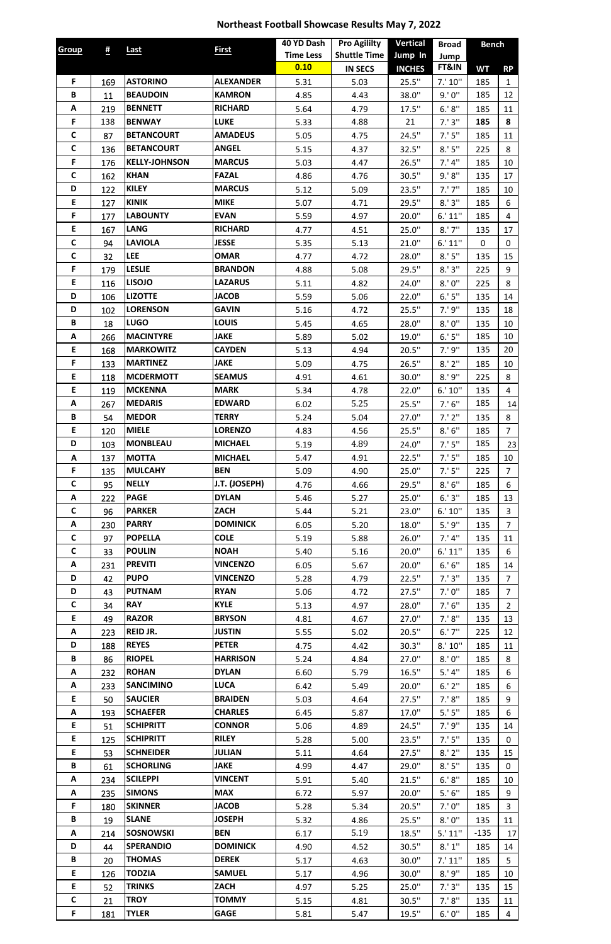## **Northeast Football Showcase Results May 7, 2022**

| <b>Group</b> | $\frac{\mu}{2}$ | <b>Last</b>          | <b>First</b>     | 40 YD Dash       | <b>Pro Agililty</b> | <b>Vertical</b> | <b>Broad</b> | <b>Bench</b> |                   |
|--------------|-----------------|----------------------|------------------|------------------|---------------------|-----------------|--------------|--------------|-------------------|
|              |                 |                      |                  | <b>Time Less</b> | <b>Shuttle Time</b> | Jump In         | Jump         |              |                   |
|              |                 |                      |                  | 0.10             | <b>IN SECS</b>      | <b>INCHES</b>   | FT&IN        | <b>WT</b>    | <b>RP</b>         |
| F.           | 169             | <b>ASTORINO</b>      | <b>ALEXANDER</b> | 5.31             | 5.03                | 25.5"           | 7.' 10''     | 185          | $\mathbf{1}$      |
| B            | 11              | <b>BEAUDOIN</b>      | <b>KAMRON</b>    | 4.85             | 4.43                | 38.0"           | 9.'0''       | 185          | 12                |
| A            | 219             | <b>BENNETT</b>       | <b>RICHARD</b>   | 5.64             | 4.79                | 17.5"           | 6.' 8''      | 185          | 11                |
| F            | 138             | <b>BENWAY</b>        | <b>LUKE</b>      | 5.33             | 4.88                | 21              | 7.'3''       | 185          | 8                 |
| $\mathsf{C}$ | 87              | <b>BETANCOURT</b>    | <b>AMADEUS</b>   | 5.05             | 4.75                | 24.5"           | 7.'5''       | 185          | 11                |
| $\mathsf{C}$ | 136             | <b>BETANCOURT</b>    | <b>ANGEL</b>     | 5.15             | 4.37                | 32.5"           | 8.'5''       | 225          | 8                 |
| F            | 176             | <b>KELLY-JOHNSON</b> | <b>MARCUS</b>    | 5.03             | 4.47                | 26.5"           | 7.'4"        | 185          | 10                |
| $\mathsf{C}$ | 162             | <b>KHAN</b>          | <b>FAZAL</b>     | 4.86             | 4.76                | 30.5"           | 9.'8''       | 135          | 17                |
| D            | 122             | <b>KILEY</b>         | <b>MARCUS</b>    | 5.12             | 5.09                | 23.5"           | 7.'7''       | 185          | 10                |
| E            | 127             | <b>KINIK</b>         | <b>MIKE</b>      | 5.07             | 4.71                | 29.5"           | 8.'3''       | 185          | 6                 |
| F            | 177             | <b>LABOUNTY</b>      | <b>EVAN</b>      | 5.59             | 4.97                | 20.0"           | 6.' 11''     | 185          | 4                 |
| E.           | 167             | <b>LANG</b>          | <b>RICHARD</b>   | 4.77             | 4.51                | 25.0"           | $8.'$ $7''$  | 135          | 17                |
| $\mathsf{C}$ | 94              | <b>LAVIOLA</b>       | <b>JESSE</b>     | 5.35             | 5.13                | 21.0"           | 6.'11''      | 0            | 0                 |
| $\mathsf{C}$ | 32              | <b>LEE</b>           | <b>OMAR</b>      | 4.77             | 4.72                | 28.0"           | 8.'5''       | 135          | 15                |
| F            | 179             | <b>LESLIE</b>        | <b>BRANDON</b>   | 4.88             | 5.08                | 29.5"           | 8.'3''       | 225          | 9                 |
| E            | 116             | <b>LISOJO</b>        | <b>LAZARUS</b>   | 5.11             | 4.82                | 24.0"           | 8.'0''       | 225          | 8                 |
| D            | 106             | <b>LIZOTTE</b>       | <b>JACOB</b>     | 5.59             | 5.06                | 22.0"           | 6.'5''       | 135          | 14                |
| D            | 102             | <b>LORENSON</b>      | <b>GAVIN</b>     | 5.16             | 4.72                | 25.5"           | 7.'9''       | 135          | 18                |
| B            | 18              | <b>LUGO</b>          | <b>LOUIS</b>     | 5.45             | 4.65                | 28.0"           | 8.'0''       | 135          | 10                |
| A            | 266             | <b>MACINTYRE</b>     | <b>JAKE</b>      | 5.89             | 5.02                | 19.0"           | 6.'5''       | 185          | 10                |
| E            | 168             | <b>MARKOWITZ</b>     | <b>CAYDEN</b>    | 5.13             | 4.94                | 20.5"           | 7.'9''       | 135          | 20                |
| F            | 133             | <b>MARTINEZ</b>      | <b>JAKE</b>      | 5.09             | 4.75                | 26.5"           | 8.'2''       | 185          | 10                |
| E            | 118             | <b>MCDERMOTT</b>     | <b>SEAMUS</b>    | 4.91             | 4.61                | 30.0"           | 8.'9''       | 225          | 8                 |
| E            | 119             | <b>MCKENNA</b>       | <b>MARK</b>      | 5.34             | 4.78                | 22.0"           | 6.' 10''     | 135          | 4                 |
| A            | 267             | <b>MEDARIS</b>       | <b>EDWARD</b>    | 6.02             | 5.25                | 25.5"           | 7.'6''       | 185          | 14                |
| B            | 54              | <b>MEDOR</b>         | <b>TERRY</b>     | 5.24             | 5.04                | 27.0"           | 7.'2''       | 135          | 8                 |
| E            | 120             | <b>MIELE</b>         | <b>LORENZO</b>   | 4.83             | 4.56                | 25.5"           | 8.'6''       | 185          | $\overline{7}$    |
| D            | 103             | <b>MONBLEAU</b>      | <b>MICHAEL</b>   | 5.19             | 4.89                | 24.0"           | 7.'5''       | 185          | 23                |
| A            | 137             | <b>MOTTA</b>         | <b>MICHAEL</b>   | 5.47             | 4.91                | 22.5"           | 7.'5''       | 185          | 10                |
| F            | 135             | <b>MULCAHY</b>       | <b>BEN</b>       | 5.09             | 4.90                | 25.0"           | 7.'5''       | 225          | $\overline{7}$    |
| $\mathsf{C}$ | 95              | <b>NELLY</b>         | J.T. (JOSEPH)    | 4.76             | 4.66                | 29.5"           | 8.'6''       | 185          | 6                 |
| Α            | 222             | <b>PAGE</b>          | <b>DYLAN</b>     | 5.46             | 5.27                | 25.0"           | 6.'3''       | 185          | 13                |
| $\mathsf{C}$ | 96              | <b>PARKER</b>        | <b>ZACH</b>      | 5.44             | 5.21                | 23.0"           | 6.' 10''     | 135          | 3                 |
| Α            | 230             | <b>PARRY</b>         | <b>DOMINICK</b>  | 6.05             | 5.20                | $18.0$ "        | 5.'9''       | 135          | 7 <sup>1</sup>    |
| $\mathsf{C}$ | 97              | <b>POPELLA</b>       | <b>COLE</b>      | 5.19             | 5.88                | 26.0"           | 7.'4''       | 135          | 11                |
| $\mathsf{C}$ | 33              | <b>POULIN</b>        | <b>NOAH</b>      | 5.40             | 5.16                | 20.0"           | 6.' 11''     | 135          | 6                 |
| A            | 231             | <b>PREVITI</b>       | <b>VINCENZO</b>  | 6.05             | 5.67                | 20.0"           | 6.' 6''      | 185          | 14                |
| D            | 42              | <b>PUPO</b>          | <b>VINCENZO</b>  | 5.28             | 4.79                | 22.5"           | 7.'3''       | 135          | $\overline{7}$    |
| D            | 43              | <b>PUTNAM</b>        | <b>RYAN</b>      | 5.06             | 4.72                | 27.5"           | 7.'0''       | 185          | 7 <sup>1</sup>    |
| $\mathsf{C}$ | 34              | <b>RAY</b>           | <b>KYLE</b>      | 5.13             | 4.97                | 28.0"           | 7.'6''       | 135          | $\overline{2}$    |
| E.           | 49              | <b>RAZOR</b>         | <b>BRYSON</b>    | 4.81             | 4.67                | 27.0"           | 7.'8''       | 135          | 13                |
| A            | 223             | <b>REID JR.</b>      | <b>JUSTIN</b>    | 5.55             | 5.02                | 20.5"           | $6.'$ $7''$  | 225          | 12                |
| D            | 188             | <b>REYES</b>         | <b>PETER</b>     | 4.75             | 4.42                | 30.3"           | 8.' 10''     | 185          | 11                |
| B            | 86              | <b>RIOPEL</b>        | <b>HARRISON</b>  | 5.24             | 4.84                | 27.0"           | 8.'0''       | 185          | 8                 |
| Α            | 232             | <b>ROHAN</b>         | <b>DYLAN</b>     | 6.60             | 5.79                | 16.5"           | 5.'4''       | 185          | 6                 |
| A            | 233             | <b>SANCIMINO</b>     | <b>LUCA</b>      | 6.42             | 5.49                | 20.0"           | $6.'$ $2''$  | 185          | 6                 |
| E            |                 | <b>SAUCIER</b>       | <b>BRAIDEN</b>   |                  |                     | 27.5"           | 7.'8''       |              | 9                 |
| A            | 50<br>193       | <b>SCHAEFER</b>      | <b>CHARLES</b>   | 5.03             | 4.64                | $17.0$ "        | 5.'5''       | 185<br>185   |                   |
| E.           |                 | <b>SCHIPRITT</b>     | <b>CONNOR</b>    | 6.45             | 5.87                |                 | 7.'9''       |              | 6                 |
| E.           | 51<br>125       | <b>SCHIPRITT</b>     | <b>RILEY</b>     | 5.06<br>5.28     | 4.89<br>5.00        | 24.5"<br>23.5"  | 7.'5''       | 135<br>135   | 14<br>$\mathbf 0$ |
|              |                 |                      |                  |                  |                     |                 |              |              |                   |
| E.           | 53              | <b>SCHNEIDER</b>     | <b>JULIAN</b>    | 5.11             | 4.64                | 27.5"           | 8.'2''       | 135          | 15                |
| B            | 61              | <b>SCHORLING</b>     | <b>JAKE</b>      | 4.99             | 4.47                | 29.0"           | 8.'5''       | 135          | $\mathbf 0$       |
| Α            | 234             | <b>SCILEPPI</b>      | <b>VINCENT</b>   | 5.91             | 5.40                | 21.5"           | 6.' 8''      | 185          | 10                |
| Α            | 235             | <b>SIMONS</b>        | <b>MAX</b>       | 6.72             | 5.97                | 20.0"           | 5.'6''       | 185          | 9                 |
| F            | 180             | <b>SKINNER</b>       | <b>JACOB</b>     | 5.28             | 5.34                | 20.5"           | 7.'0''       | 185          | $\overline{3}$    |
| B            | 19              | <b>SLANE</b>         | <b>JOSEPH</b>    | 5.32             | 4.86                | 25.5"           | 8.'0''       | 135          | 11                |
| Α            | 214             | <b>SOSNOWSKI</b>     | <b>BEN</b>       | 6.17             | 5.19                | 18.5"           | 5.' 11''     | $-135$       | 17                |
| D            | 44              | <b>SPERANDIO</b>     | <b>DOMINICK</b>  | 4.90             | 4.52                | 30.5"           | 8.' 1''      | 185          | 14                |
| B            | 20              | <b>THOMAS</b>        | <b>DEREK</b>     | 5.17             | 4.63                | 30.0"           | 7.' 11''     | 185          | 5 <sup>5</sup>    |
| E            | 126             | <b>TODZIA</b>        | <b>SAMUEL</b>    | 5.17             | 4.96                | 30.0"           | 8.'9''       | 185          | 10                |
| E            | 52              | <b>TRINKS</b>        | <b>ZACH</b>      | 4.97             | 5.25                | 25.0"           | 7.'3''       | 135          | 15                |
| $\mathsf{C}$ | 21              | <b>TROY</b>          | <b>TOMMY</b>     | 5.15             | 4.81                | 30.5"           | 7.'8''       | 135          | 11                |
| F            | 181             | <b>TYLER</b>         | <b>GAGE</b>      | 5.81             | 5.47                | 19.5"           | 6.' 0''      | 185          | 4                 |